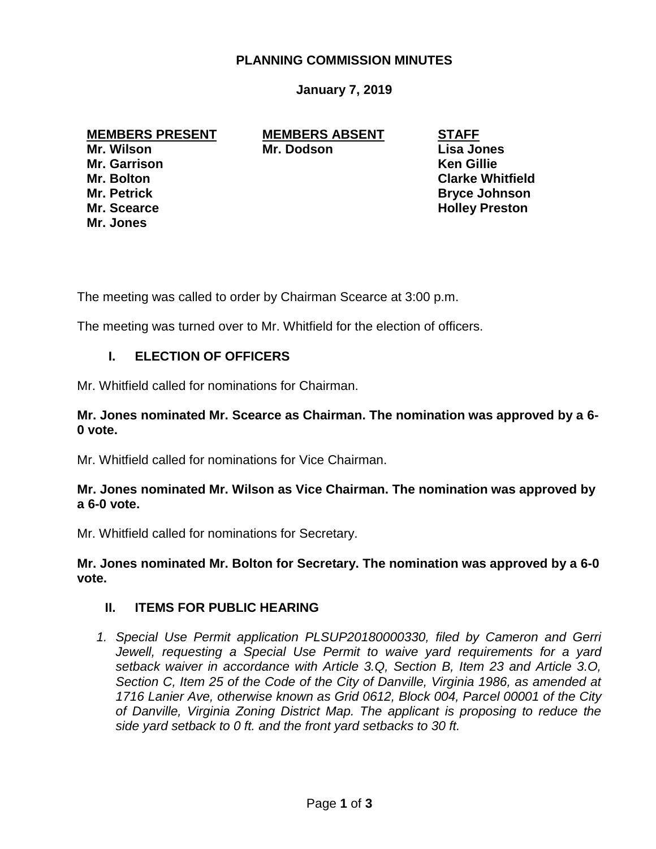# **PLANNING COMMISSION MINUTES**

## **January 7, 2019**

**Mr. Garrison Ken Gillie Mr. Jones**

**MEMBERS PRESENT MEMBERS ABSENT STAFF Mr. Wilson Mr. Dodson Lisa Jones**

**Mr. Bolton Clarke Whitfield Mr. Petrick Bryce Johnson Mr. Scearce Holley Preston** 

The meeting was called to order by Chairman Scearce at 3:00 p.m.

The meeting was turned over to Mr. Whitfield for the election of officers.

## **I. ELECTION OF OFFICERS**

Mr. Whitfield called for nominations for Chairman.

## **Mr. Jones nominated Mr. Scearce as Chairman. The nomination was approved by a 6- 0 vote.**

Mr. Whitfield called for nominations for Vice Chairman.

## **Mr. Jones nominated Mr. Wilson as Vice Chairman. The nomination was approved by a 6-0 vote.**

Mr. Whitfield called for nominations for Secretary.

**Mr. Jones nominated Mr. Bolton for Secretary. The nomination was approved by a 6-0 vote.**

#### **II. ITEMS FOR PUBLIC HEARING**

*1. Special Use Permit application PLSUP20180000330, filed by Cameron and Gerri*  Jewell, requesting a Special Use Permit to waive yard requirements for a yard *setback waiver in accordance with Article 3.Q, Section B, Item 23 and Article 3.O, Section C, Item 25 of the Code of the City of Danville, Virginia 1986, as amended at 1716 Lanier Ave, otherwise known as Grid 0612, Block 004, Parcel 00001 of the City of Danville, Virginia Zoning District Map. The applicant is proposing to reduce the side yard setback to 0 ft. and the front yard setbacks to 30 ft.*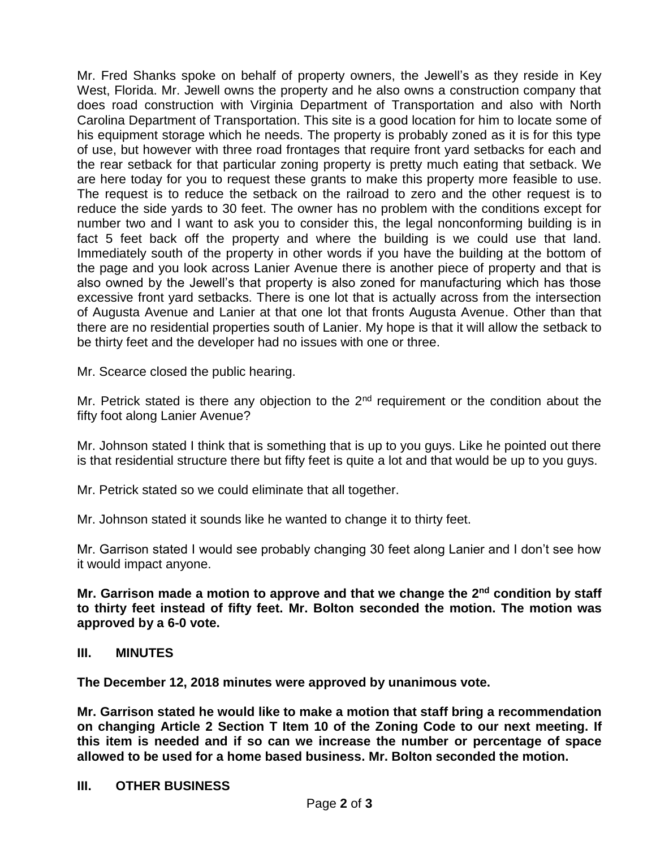Mr. Fred Shanks spoke on behalf of property owners, the Jewell's as they reside in Key West, Florida. Mr. Jewell owns the property and he also owns a construction company that does road construction with Virginia Department of Transportation and also with North Carolina Department of Transportation. This site is a good location for him to locate some of his equipment storage which he needs. The property is probably zoned as it is for this type of use, but however with three road frontages that require front yard setbacks for each and the rear setback for that particular zoning property is pretty much eating that setback. We are here today for you to request these grants to make this property more feasible to use. The request is to reduce the setback on the railroad to zero and the other request is to reduce the side yards to 30 feet. The owner has no problem with the conditions except for number two and I want to ask you to consider this, the legal nonconforming building is in fact 5 feet back off the property and where the building is we could use that land. Immediately south of the property in other words if you have the building at the bottom of the page and you look across Lanier Avenue there is another piece of property and that is also owned by the Jewell's that property is also zoned for manufacturing which has those excessive front yard setbacks. There is one lot that is actually across from the intersection of Augusta Avenue and Lanier at that one lot that fronts Augusta Avenue. Other than that there are no residential properties south of Lanier. My hope is that it will allow the setback to be thirty feet and the developer had no issues with one or three.

Mr. Scearce closed the public hearing.

Mr. Petrick stated is there any objection to the 2<sup>nd</sup> requirement or the condition about the fifty foot along Lanier Avenue?

Mr. Johnson stated I think that is something that is up to you guys. Like he pointed out there is that residential structure there but fifty feet is quite a lot and that would be up to you guys.

Mr. Petrick stated so we could eliminate that all together.

Mr. Johnson stated it sounds like he wanted to change it to thirty feet.

Mr. Garrison stated I would see probably changing 30 feet along Lanier and I don't see how it would impact anyone.

**Mr. Garrison made a motion to approve and that we change the 2nd condition by staff to thirty feet instead of fifty feet. Mr. Bolton seconded the motion. The motion was approved by a 6-0 vote.**

#### **III. MINUTES**

**The December 12, 2018 minutes were approved by unanimous vote.**

**Mr. Garrison stated he would like to make a motion that staff bring a recommendation on changing Article 2 Section T Item 10 of the Zoning Code to our next meeting. If this item is needed and if so can we increase the number or percentage of space allowed to be used for a home based business. Mr. Bolton seconded the motion.** 

#### **III. OTHER BUSINESS**